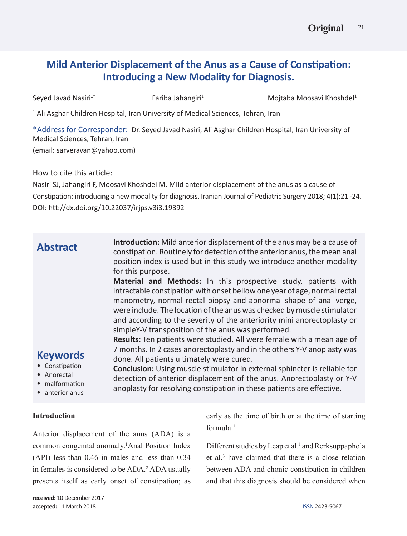# **Mild Anterior Displacement of the Anus as a Cause of Constipation: Introducing a New Modality for Diagnosis.**

Seyed Javad Nasiri<sup>1\*</sup> Fariba Jahangiri<sup>1</sup> Mojtaba Moosavi Khoshdel1 <sup>1</sup> Ali Asghar Children Hospital, Iran University of Medical Sciences, Tehran, Iran \*Address for Corresponder: Dr. Seyed Javad Nasiri, Ali Asghar Children Hospital, Iran University of Medical Sciences, Tehran, Iran (email: sarveravan@yahoo.com)

How to cite this article:

Nasiri SJ, Jahangiri F, Moosavi Khoshdel M. Mild anterior displacement of the anus as a cause of Constipation: introducing a new modality for diagnosis. Iranian Journal of Pediatric Surgery 2018; 4(1):21 -24. DOI: htt://dx.doi.org/10.22037/irjps.v3i3.19392

| <b>Abstract</b><br><b>Keywords</b><br>• Constipation<br>Anorectal<br>malformation<br>• anterior anus | Introduction: Mild anterior displacement of the anus may be a cause of<br>constipation. Routinely for detection of the anterior anus, the mean anal<br>position index is used but in this study we introduce another modality<br>for this purpose.<br>Material and Methods: In this prospective study, patients with<br>intractable constipation with onset bellow one year of age, normal rectal<br>manometry, normal rectal biopsy and abnormal shape of anal verge,<br>were include. The location of the anus was checked by muscle stimulator<br>and according to the severity of the anteriority mini anorectoplasty or<br>simpleY-V transposition of the anus was performed.<br>Results: Ten patients were studied. All were female with a mean age of<br>7 months. In 2 cases anorectoplasty and in the others Y-V anoplasty was<br>done. All patients ultimately were cured.<br>Conclusion: Using muscle stimulator in external sphincter is reliable for<br>detection of anterior displacement of the anus. Anorectoplasty or Y-V<br>anoplasty for resolving constipation in these patients are effective. |
|------------------------------------------------------------------------------------------------------|---------------------------------------------------------------------------------------------------------------------------------------------------------------------------------------------------------------------------------------------------------------------------------------------------------------------------------------------------------------------------------------------------------------------------------------------------------------------------------------------------------------------------------------------------------------------------------------------------------------------------------------------------------------------------------------------------------------------------------------------------------------------------------------------------------------------------------------------------------------------------------------------------------------------------------------------------------------------------------------------------------------------------------------------------------------------------------------------------------------------|
|                                                                                                      |                                                                                                                                                                                                                                                                                                                                                                                                                                                                                                                                                                                                                                                                                                                                                                                                                                                                                                                                                                                                                                                                                                                     |

# **Introduction**

Anterior displacement of the anus (ADA) is a common congenital anomaly.1 Anal Position Index (API) less than 0.46 in males and less than 0.34 in females is considered to be ADA.<sup>2</sup> ADA usually presents itself as early onset of constipation; as

early as the time of birth or at the time of starting formula.1

Different studies by Leap et al.<sup>1</sup> and Rerksuppaphola et al.3 have claimed that there is a close relation between ADA and chonic constipation in children and that this diagnosis should be considered when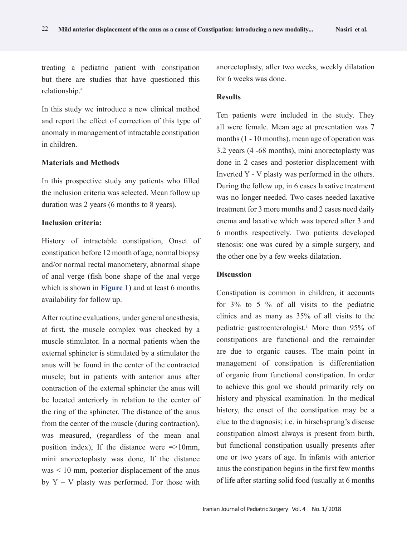treating a pediatric patient with constipation but there are studies that have questioned this relationship.4

In this study we introduce a new clinical method and report the effect of correction of this type of anomaly in management of intractable constipation in children.

#### **Materials and Methods**

In this prospective study any patients who filled the inclusion criteria was selected. Mean follow up duration was 2 years (6 months to 8 years).

## **Inclusion criteria:**

History of intractable constipation, Onset of constipation before 12 month of age, normal biopsy and/or normal rectal manometery, abnormal shape of anal verge (fish bone shape of the anal verge which is shown in **Figure 1**) and at least 6 months availability for follow up.

After routine evaluations, under general anesthesia, at first, the muscle complex was checked by a muscle stimulator. In a normal patients when the external sphincter is stimulated by a stimulator the anus will be found in the center of the contracted muscle; but in patients with anterior anus after contraction of the external sphincter the anus will be located anteriorly in relation to the center of the ring of the sphincter. The distance of the anus from the center of the muscle (during contraction), was measured, (regardless of the mean anal position index), If the distance were =>10mm, mini anorectoplasty was done, If the distance was < 10 mm, posterior displacement of the anus by  $Y - V$  plasty was performed. For those with

anorectoplasty, after two weeks, weekly dilatation for 6 weeks was done.

#### **Results**

Ten patients were included in the study. They all were female. Mean age at presentation was 7 months (1 - 10 months), mean age of operation was 3.2 years (4 -68 months), mini anorectoplasty was done in 2 cases and posterior displacement with Inverted Y - V plasty was performed in the others. During the follow up, in 6 cases laxative treatment was no longer needed. Two cases needed laxative treatment for 3 more months and 2 cases need daily enema and laxative which was tapered after 3 and 6 months respectively. Two patients developed stenosis: one was cured by a simple surgery, and the other one by a few weeks dilatation.

#### **Discussion**

Constipation is common in children, it accounts for 3% to 5 % of all visits to the pediatric clinics and as many as 35% of all visits to the pediatric gastroenterologist.1 More than 95% of constipations are functional and the remainder are due to organic causes. The main point in management of constipation is differentiation of organic from functional constipation. In order to achieve this goal we should primarily rely on history and physical examination. In the medical history, the onset of the constipation may be a clue to the diagnosis; i.e. in hirschsprung's disease constipation almost always is present from birth, but functional constipation usually presents after one or two years of age. In infants with anterior anus the constipation begins in the first few months of life after starting solid food (usually at 6 months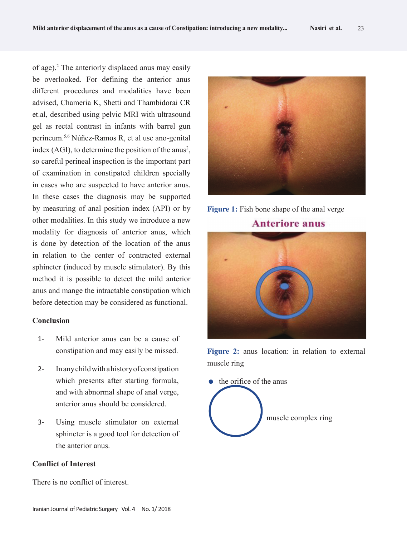of age).2 The anteriorly displaced anus may easily be overlooked. For defining the anterior anus different procedures and modalities have been advised, Chameria K, Shetti and Thambidorai CR et.al, described using pelvic MRI with ultrasound gel as rectal contrast in infants with barrel gun perineum.5,6 Núñez-Ramos R, et al use ano-genital index (AGI), to determine the position of the anus<sup>2</sup>, so careful perineal inspection is the important part of examination in constipated children specially in cases who are suspected to have anterior anus. In these cases the diagnosis may be supported by measuring of anal position index (API) or by other modalities. In this study we introduce a new modality for diagnosis of anterior anus, which is done by detection of the location of the anus in relation to the center of contracted external sphincter (induced by muscle stimulator). By this method it is possible to detect the mild anterior anus and mange the intractable constipation which before detection may be considered as functional.

#### **Conclusion**

- 1- Mild anterior anus can be a cause of constipation and may easily be missed.
- 2- In any child with a history of constipation which presents after starting formula, and with abnormal shape of anal verge, anterior anus should be considered.
- 3- Using muscle stimulator on external sphincter is a good tool for detection of the anterior anus.

#### **Conflict of Interest**

There is no conflict of interest.



**Figure 1:** Fish bone shape of the anal verge **Anteriore anus**